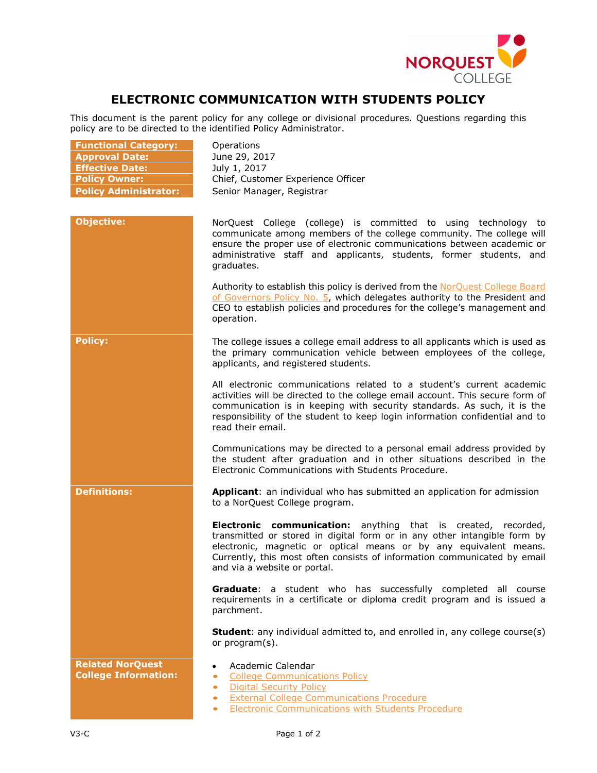

## **ELECTRONIC COMMUNICATION WITH STUDENTS POLICY**

This document is the parent policy for any college or divisional procedures. Questions regarding this policy are to be directed to the identified Policy Administrator.

| <b>Functional Category:</b><br><b>Approval Date:</b><br><b>Effective Date:</b><br><b>Policy Owner:</b><br><b>Policy Administrator:</b> | Operations<br>June 29, 2017<br>July 1, 2017<br>Chief, Customer Experience Officer<br>Senior Manager, Registrar                                                                                                                                                                                                                        |
|----------------------------------------------------------------------------------------------------------------------------------------|---------------------------------------------------------------------------------------------------------------------------------------------------------------------------------------------------------------------------------------------------------------------------------------------------------------------------------------|
|                                                                                                                                        |                                                                                                                                                                                                                                                                                                                                       |
| <b>Objective:</b>                                                                                                                      | NorQuest College (college) is committed to using technology to<br>communicate among members of the college community. The college will<br>ensure the proper use of electronic communications between academic or<br>administrative staff and applicants, students, former students, and<br>graduates.                                 |
|                                                                                                                                        | Authority to establish this policy is derived from the NorQuest College Board<br>of Governors Policy No. 5, which delegates authority to the President and<br>CEO to establish policies and procedures for the college's management and<br>operation.                                                                                 |
| <b>Policy:</b>                                                                                                                         | The college issues a college email address to all applicants which is used as<br>the primary communication vehicle between employees of the college,<br>applicants, and registered students.                                                                                                                                          |
|                                                                                                                                        | All electronic communications related to a student's current academic<br>activities will be directed to the college email account. This secure form of<br>communication is in keeping with security standards. As such, it is the<br>responsibility of the student to keep login information confidential and to<br>read their email. |
|                                                                                                                                        | Communications may be directed to a personal email address provided by<br>the student after graduation and in other situations described in the<br>Electronic Communications with Students Procedure.                                                                                                                                 |
| <b>Definitions:</b>                                                                                                                    | Applicant: an individual who has submitted an application for admission<br>to a NorQuest College program.                                                                                                                                                                                                                             |
|                                                                                                                                        | Electronic communication: anything that is created, recorded,<br>transmitted or stored in digital form or in any other intangible form by<br>electronic, magnetic or optical means or by any equivalent means.<br>Currently, this most often consists of information communicated by email<br>and via a website or portal.            |
|                                                                                                                                        | Graduate: a student who has successfully completed all course<br>requirements in a certificate or diploma credit program and is issued a<br>parchment.                                                                                                                                                                                |
|                                                                                                                                        | <b>Student:</b> any individual admitted to, and enrolled in, any college course(s)<br>or program(s).                                                                                                                                                                                                                                  |
| <b>Related NorQuest</b><br><b>College Information:</b>                                                                                 | Academic Calendar<br>$\bullet$<br><b>College Communications Policy</b><br>$\bullet$<br><b>Digital Security Policy</b><br>$\bullet$<br><b>External College Communications Procedure</b><br>$\bullet$<br><b>Electronic Communications with Students Procedure</b><br>$\bullet$                                                          |